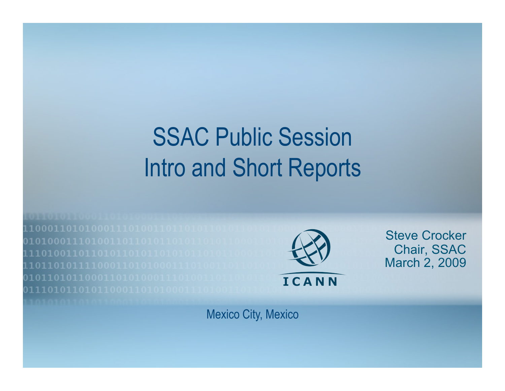# SSAC Public Session Intro and Short Reports

1000110101000111010011011010 01010001110100110110101101011 110100110110101101011010101 101101011110001101010001110100 01011010110001101010001110100 0111010110101100011010100011



Steve Crocker Chair, SSAC March 2, 2009

Mexico City, Mexico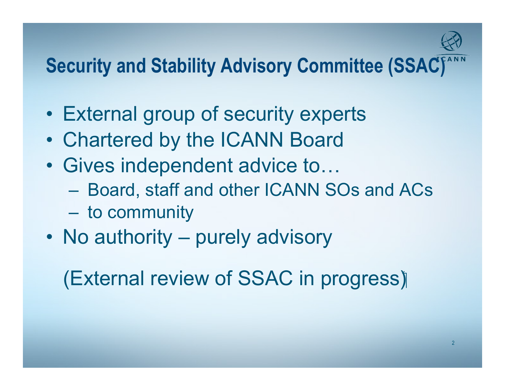

#### **Security and Stability Advisory Committee (SSAC)**

- External group of security experts
- Chartered by the ICANN Board
- Gives independent advice to…
	- Board, staff and other ICANN SOs and ACs
	- to community
- No authority purely advisory

#### (External review of SSAC in progress)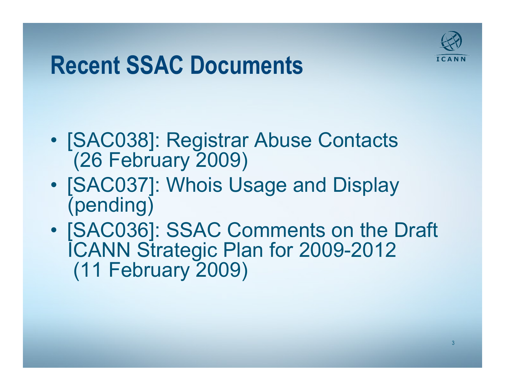

#### **Recent SSAC Documents**

- [SAC038]: Registrar Abuse Contacts (26 February 2009)
- [SAC037]: Whois Usage and Display (pending)
- [SAC036]: SSAC Comments on the Draft ICANN Strategic Plan for 2009-2012 (11 February 2009)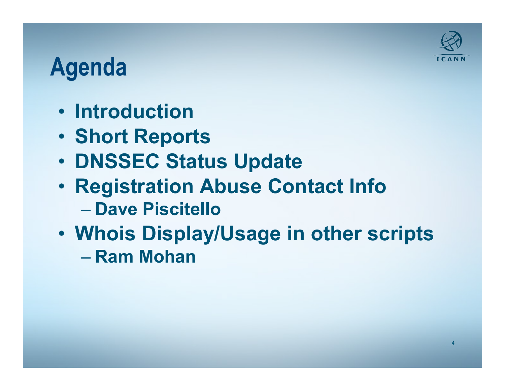

## **Agenda**

- **Introduction**
- **Short Reports**
- **DNSSEC Status Update**
- **Registration Abuse Contact Info**  – **Dave Piscitello**
- **Whois Display/Usage in other scripts** 
	- **Ram Mohan**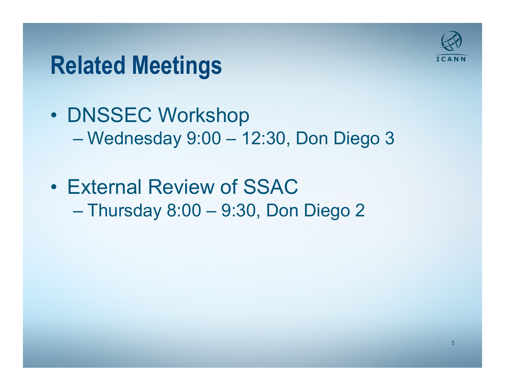

#### **Related Meetings**

- DNSSEC Workshop – Wednesday 9:00 – 12:30, Don Diego 3
- External Review of SSAC – Thursday 8:00 – 9:30, Don Diego 2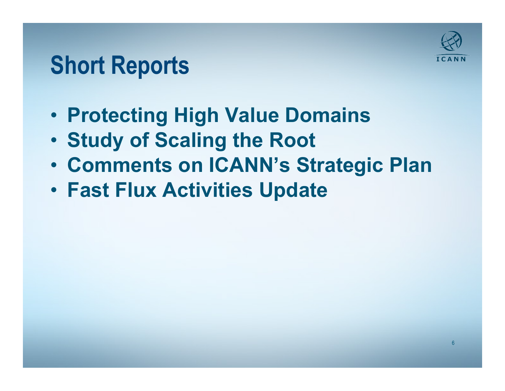## **Short Reports**

- **Protecting High Value Domains**
- **Study of Scaling the Root**
- **Comments on ICANN's Strategic Plan**
- **Fast Flux Activities Update**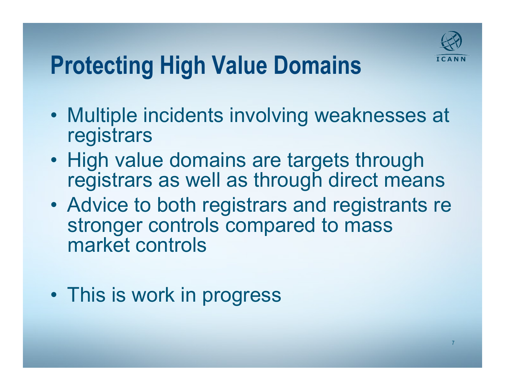

# **Protecting High Value Domains**

- Multiple incidents involving weaknesses at registrars
- High value domains are targets through registrars as well as through direct means
- Advice to both registrars and registrants re stronger controls compared to mass market controls
- This is work in progress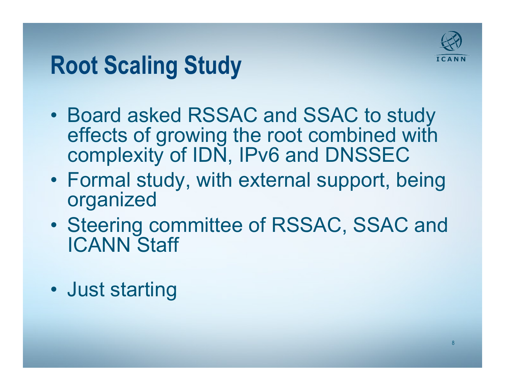

## **Root Scaling Study**

- Board asked RSSAC and SSAC to study effects of growing the root combined with complexity of IDN, IPv6 and DNSSEC
- Formal study, with external support, being organized
- Steering committee of RSSAC, SSAC and ICANN Staff
- Just starting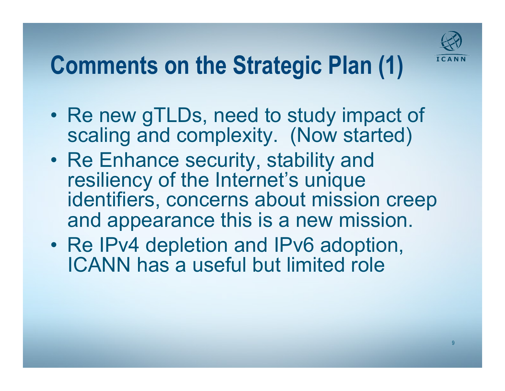

# **Comments on the Strategic Plan (1)**

- Re new gTLDs, need to study impact of scaling and complexity. (Now started)
- Re Enhance security, stability and resiliency of the Internet's unique identifiers, concerns about mission creep and appearance this is a new mission.
- Re IPv4 depletion and IPv6 adoption, ICANN has a useful but limited role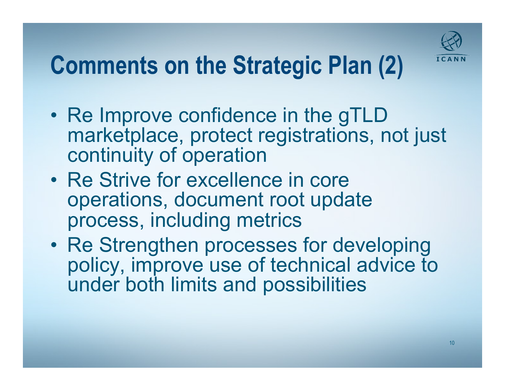

# **Comments on the Strategic Plan (2)**

- Re Improve confidence in the gTLD marketplace, protect registrations, not just continuity of operation
- Re Strive for excellence in core operations, document root update process, including metrics
- Re Strengthen processes for developing policy, improve use of technical advice to under both limits and possibilities